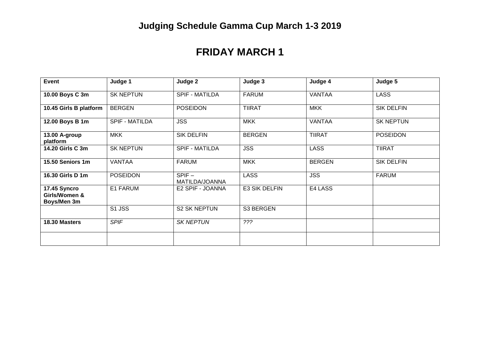## **FRIDAY MARCH 1**

| <b>Event</b>                                 | Judge 1               | Judge 2                    | Judge 3       | Judge 4       | Judge 5           |
|----------------------------------------------|-----------------------|----------------------------|---------------|---------------|-------------------|
| 10.00 Boys C 3m                              | <b>SK NEPTUN</b>      | <b>SPIF - MATILDA</b>      | <b>FARUM</b>  | <b>VANTAA</b> | <b>LASS</b>       |
| 10.45 Girls B platform                       | <b>BERGEN</b>         | <b>POSEIDON</b>            | <b>TIIRAT</b> | <b>MKK</b>    | <b>SIK DELFIN</b> |
| 12.00 Boys B 1m                              | <b>SPIF - MATILDA</b> | <b>JSS</b>                 | <b>MKK</b>    | <b>VANTAA</b> | <b>SK NEPTUN</b>  |
| 13.00 A-group<br>platform                    | <b>MKK</b>            | <b>SIK DELFIN</b>          | <b>BERGEN</b> | <b>TIIRAT</b> | <b>POSEIDON</b>   |
| 14.20 Girls C 3m                             | <b>SK NEPTUN</b>      | SPIF - MATILDA             | <b>JSS</b>    | <b>LASS</b>   | <b>TIIRAT</b>     |
| 15.50 Seniors 1m                             | <b>VANTAA</b>         | <b>FARUM</b>               | <b>MKK</b>    | <b>BERGEN</b> | <b>SIK DELFIN</b> |
| 16.30 Girls D 1m                             | <b>POSEIDON</b>       | $SPIF -$<br>MATILDA/JOANNA | <b>LASS</b>   | <b>JSS</b>    | <b>FARUM</b>      |
| 17.45 Syncro<br>Girls/Women &<br>Boys/Men 3m | E1 FARUM              | E2 SPIF - JOANNA           | E3 SIK DELFIN | E4 LASS       |                   |
|                                              | S1 JSS                | <b>S2 SK NEPTUN</b>        | S3 BERGEN     |               |                   |
| 18.30 Masters                                | <b>SPIF</b>           | <b>SK NEPTUN</b>           | 222           |               |                   |
|                                              |                       |                            |               |               |                   |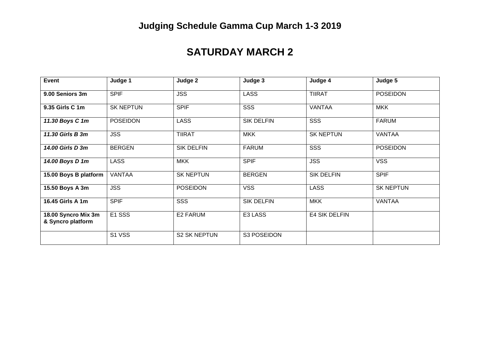## **Judging Schedule Gamma Cup March 1-3 2019**

## **SATURDAY MARCH 2**

| <b>Event</b>                             | Judge 1          | Judge 2             | Judge 3           | Judge 4           | Judge 5          |
|------------------------------------------|------------------|---------------------|-------------------|-------------------|------------------|
| 9.00 Seniors 3m                          | <b>SPIF</b>      | <b>JSS</b>          | <b>LASS</b>       | <b>TIIRAT</b>     | <b>POSEIDON</b>  |
| 9.35 Girls C 1m                          | <b>SK NEPTUN</b> | <b>SPIF</b>         | SSS               | <b>VANTAA</b>     | <b>MKK</b>       |
| 11.30 Boys C 1m                          | <b>POSEIDON</b>  | <b>LASS</b>         | <b>SIK DELFIN</b> | SSS               | <b>FARUM</b>     |
| 11.30 Girls B 3m                         | <b>JSS</b>       | <b>TIIRAT</b>       | <b>MKK</b>        | <b>SK NEPTUN</b>  | <b>VANTAA</b>    |
| 14.00 Girls D 3m                         | <b>BERGEN</b>    | <b>SIK DELFIN</b>   | <b>FARUM</b>      | SSS               | <b>POSEIDON</b>  |
| 14.00 Boys D 1m                          | <b>LASS</b>      | <b>MKK</b>          | <b>SPIF</b>       | <b>JSS</b>        | <b>VSS</b>       |
| 15.00 Boys B platform                    | <b>VANTAA</b>    | <b>SK NEPTUN</b>    | <b>BERGEN</b>     | <b>SIK DELFIN</b> | <b>SPIF</b>      |
| 15.50 Boys A 3m                          | <b>JSS</b>       | <b>POSEIDON</b>     | <b>VSS</b>        | <b>LASS</b>       | <b>SK NEPTUN</b> |
| 16.45 Girls A 1m                         | <b>SPIF</b>      | SSS                 | <b>SIK DELFIN</b> | <b>MKK</b>        | <b>VANTAA</b>    |
| 18.00 Syncro Mix 3m<br>& Syncro platform | E1 SSS           | E2 FARUM            | E3 LASS           | E4 SIK DELFIN     |                  |
|                                          | S1 VSS           | <b>S2 SK NEPTUN</b> | S3 POSEIDON       |                   |                  |